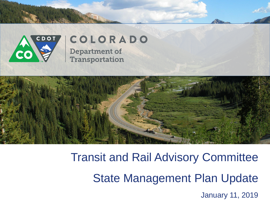

## COLORADO

**Department of Transportation** 



Transit and Rail Advisory Committee State Management Plan Update January 11, 2019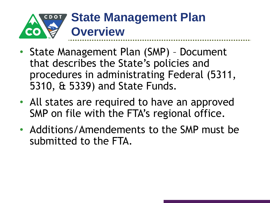

- State Management Plan (SMP) Document that describes the State's policies and procedures in administrating Federal (5311, 5310, & 5339) and State Funds.
- All states are required to have an approved SMP on file with the FTA's regional office.
- Additions/Amendements to the SMP must be submitted to the FTA.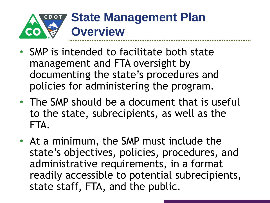

- SMP is intended to facilitate both state management and FTA oversight by documenting the state's procedures and policies for administering the program.
- The SMP should be a document that is useful to the state, subrecipients, as well as the FTA.
- At a minimum, the SMP must include the state's objectives, policies, procedures, and administrative requirements, in a format readily accessible to potential subrecipients, state staff, FTA, and the public.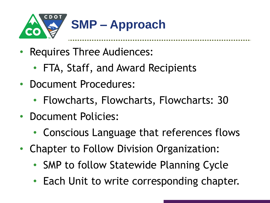

- Requires Three Audiences:
	- FTA, Staff, and Award Recipients
- Document Procedures:
	- Flowcharts, Flowcharts, Flowcharts: 30
- Document Policies:
	- Conscious Language that references flows
- Chapter to Follow Division Organization:
	- SMP to follow Statewide Planning Cycle
	- Each Unit to write corresponding chapter.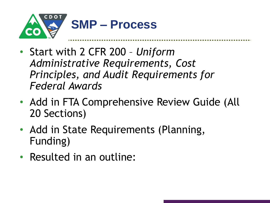

- **Multimodal** *Principles, and Audit Requirements for*  • Start with 2 CFR 200 – *Uniform Administrative Requirements, Cost Federal Awards*
- Add in FTA Comprehensive Review Guide (All 20 Sections)
- Add in State Requirements (Planning, Funding)
- Resulted in an outline: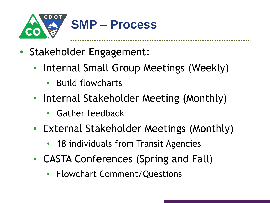

- Stakeholder Engagement:
	- **Multimodal** • Internal Small Group Meetings (Weekly)
		- Build flowcharts
	- **\$94.25M** • Internal Stakeholder Meeting (Monthly)
		- Gather feedback
	- External Stakeholder Meetings (Monthly)
		- 18 individuals from Transit Agencies
	- CASTA Conferences (Spring and Fall)
		- Flowchart Comment/Questions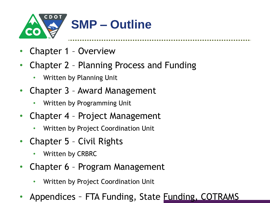

- Chapter 1 Overview
- Chapter 2 Planning Process and Funding
	- Written by Planning Unit
- Chapter 3 Award Management
	- Written by Programming Unit
- Chapter 4 Project Management
	- Written by Project Coordination Unit
- Chapter 5 Civil Rights
	- Written by CRBRC
- Chapter 6 Program Management
	- Written by Project Coordination Unit
- Appendices FTA Funding, State Funding, COTRAMS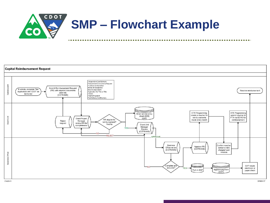

## **Capital Reimbursement Request**